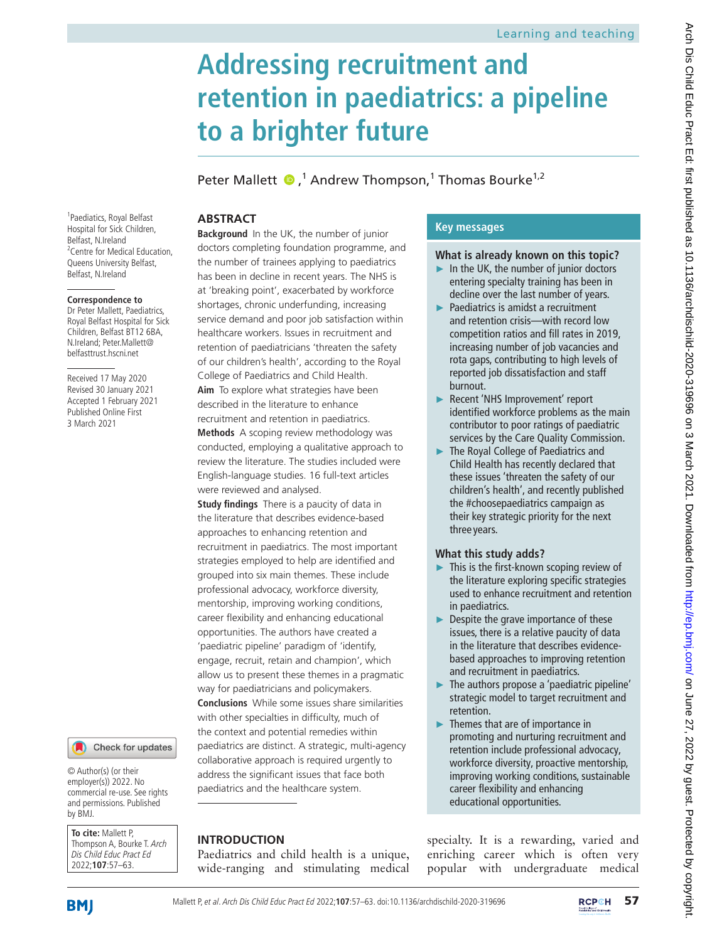# **Addressing recruitment and retention in paediatrics: a pipeline to a brighter future**

Peter Mallett  $\bigcirc$ ,<sup>1</sup> Andrew Thompson,<sup>1</sup> Thomas Bourke<sup>1,2</sup>

# **ABSTRACT**

**Background** In the UK, the number of junior doctors completing foundation programme, and the number of trainees applying to paediatrics has been in decline in recent years. The NHS is at 'breaking point', exacerbated by workforce shortages, chronic underfunding, increasing service demand and poor job satisfaction within healthcare workers. Issues in recruitment and retention of paediatricians 'threaten the safety of our children's health', according to the Royal College of Paediatrics and Child Health. **Aim** To explore what strategies have been described in the literature to enhance recruitment and retention in paediatrics. **Methods** A scoping review methodology was conducted, employing a qualitative approach to review the literature. The studies included were English-language studies. 16 full-text articles were reviewed and analysed.

**Study findings** There is a paucity of data in the literature that describes evidence-based approaches to enhancing retention and recruitment in paediatrics. The most important strategies employed to help are identified and grouped into six main themes. These include professional advocacy, workforce diversity, mentorship, improving working conditions, career flexibility and enhancing educational opportunities. The authors have created a 'paediatric pipeline' paradigm of 'identify, engage, recruit, retain and champion', which allow us to present these themes in a pragmatic way for paediatricians and policymakers. **Conclusions** While some issues share similarities with other specialties in difficulty, much of the context and potential remedies within paediatrics are distinct. A strategic, multi-agency collaborative approach is required urgently to address the significant issues that face both paediatrics and the healthcare system.

# **INTRODUCTION**

Paediatrics and child health is a unique, wide-ranging and stimulating medical

# **Key messages**

# **What is already known on this topic?**

- ► In the UK, the number of junior doctors entering specialty training has been in decline over the last number of years.
- ► Paediatrics is amidst a recruitment and retention crisis—with record low competition ratios and fill rates in 2019, increasing number of job vacancies and rota gaps, contributing to high levels of reported job dissatisfaction and staff burnout.
- ► Recent 'NHS Improvement' report identified workforce problems as the main contributor to poor ratings of paediatric services by the Care Quality Commission.
- ► The Royal College of Paediatrics and Child Health has recently declared that these issues 'threaten the safety of our children's health', and recently published the #choosepaediatrics campaign as their key strategic priority for the next three years.

# **What this study adds?**

- ► This is the first-known scoping review of the literature exploring specific strategies used to enhance recruitment and retention in paediatrics.
- ► Despite the grave importance of these issues, there is a relative paucity of data in the literature that describes evidencebased approaches to improving retention and recruitment in paediatrics.
- ► The authors propose a 'paediatric pipeline' strategic model to target recruitment and retention.
- ► Themes that are of importance in promoting and nurturing recruitment and retention include professional advocacy, workforce diversity, proactive mentorship, improving working conditions, sustainable career flexibility and enhancing educational opportunities.

specialty. It is a rewarding, varied and enriching career which is often very popular with undergraduate medical

<sup>1</sup> Paediatics, Royal Belfast Hospital for Sick Children, Belfast, N.Ireland <sup>2</sup> Centre for Medical Education, Queens University Belfast, Belfast, N.Ireland

#### **Correspondence to**

Dr Peter Mallett, Paediatrics, Royal Belfast Hospital for Sick Children, Belfast BT12 6BA, N.Ireland; Peter.Mallett@ belfasttrust.hscni.net

Received 17 May 2020 Revised 30 January 2021 Accepted 1 February 2021 Published Online First 3 March 2021



© Author(s) (or their employer(s)) 2022. No commercial re-use. See rights

**To cite:** Mallett P, and permissions. Published by BMJ.

Thompson A, Bourke T. Arch Dis Child Educ Pract Ed 2022;**107**:57–63.

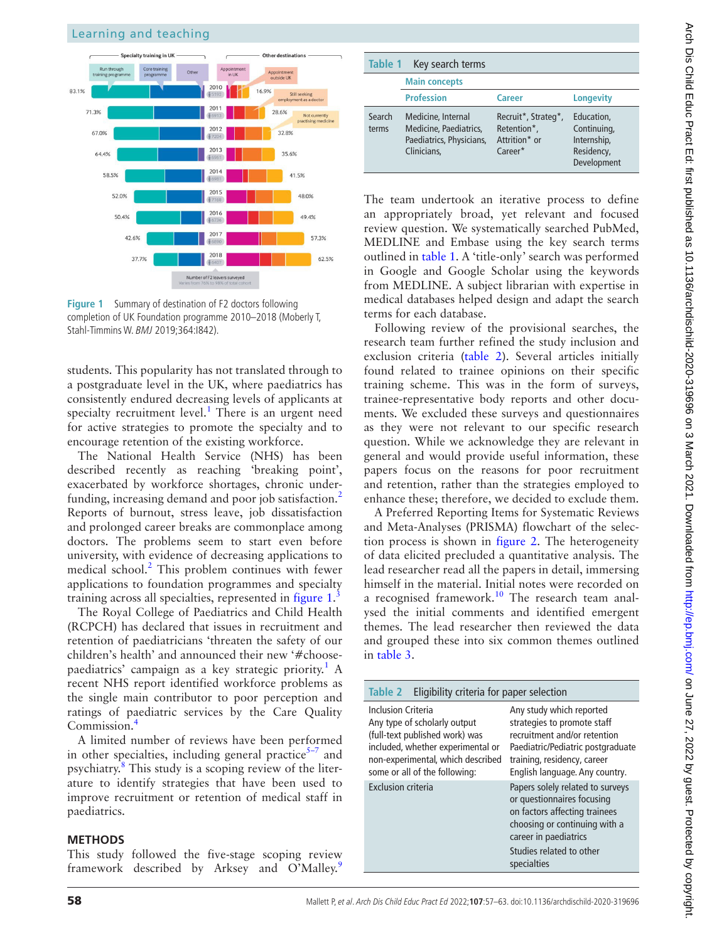

<span id="page-1-0"></span>**Figure 1** Summary of destination of F2 doctors following completion of UK Foundation programme 2010–2018 (Moberly T, Stahl-Timmins W. BMJ 2019;364:I842).

students. This popularity has not translated through to a postgraduate level in the UK, where paediatrics has consistently endured decreasing levels of applicants at specialty recruitment level.<sup>1</sup> There is an urgent need for active strategies to promote the specialty and to encourage retention of the existing workforce.

The National Health Service (NHS) has been described recently as reaching 'breaking point', exacerbated by workforce shortages, chronic under-funding, increasing demand and poor job satisfaction.<sup>[2](#page-5-1)</sup> Reports of burnout, stress leave, job dissatisfaction and prolonged career breaks are commonplace among doctors. The problems seem to start even before university, with evidence of decreasing applications to medical school.<sup>[2](#page-5-1)</sup> This problem continues with fewer applications to foundation programmes and specialty training across all specialties, represented in [figure](#page-1-0)  $1<sup>3</sup>$  $1<sup>3</sup>$  $1<sup>3</sup>$ 

The Royal College of Paediatrics and Child Health (RCPCH) has declared that issues in recruitment and retention of paediatricians 'threaten the safety of our children's health' and announced their new '#choosepaediatrics' campaign as a key strategic priority.<sup>1</sup> A recent NHS report identified workforce problems as the single main contributor to poor perception and ratings of paediatric services by the Care Quality Commission.<sup>[4](#page-6-1)</sup>

A limited number of reviews have been performed in other specialties, including general practice $5-7$  and psychiatry.<sup>[8](#page-6-3)</sup> This study is a scoping review of the literature to identify strategies that have been used to improve recruitment or retention of medical staff in paediatrics.

## **METHODS**

This study followed the five-stage scoping review framework described by Arksey and O'Malley.<sup>[9](#page-6-4)</sup>

<span id="page-1-1"></span>

| Table 1         | Key search terms                                                                        |                                                                |                                                                       |
|-----------------|-----------------------------------------------------------------------------------------|----------------------------------------------------------------|-----------------------------------------------------------------------|
|                 | <b>Main concepts</b>                                                                    |                                                                |                                                                       |
|                 | <b>Profession</b>                                                                       | Career                                                         | Longevity                                                             |
| Search<br>terms | Medicine, Internal<br>Medicine, Paediatrics,<br>Paediatrics, Physicians,<br>Clinicians, | Recruit*, Strateg*,<br>Retention*,<br>Attrition* or<br>Career* | Education,<br>Continuing,<br>Internship,<br>Residency,<br>Development |

The team undertook an iterative process to define an appropriately broad, yet relevant and focused review question. We systematically searched PubMed, MEDLINE and Embase using the key search terms outlined in [table](#page-1-1) 1. A 'title-only' search was performed in Google and Google Scholar using the keywords from MEDLINE. A subject librarian with expertise in medical databases helped design and adapt the search terms for each database.

Following review of the provisional searches, the research team further refined the study inclusion and exclusion criteria [\(table](#page-1-2) 2). Several articles initially found related to trainee opinions on their specific training scheme. This was in the form of surveys, trainee-representative body reports and other documents. We excluded these surveys and questionnaires as they were not relevant to our specific research question. While we acknowledge they are relevant in general and would provide useful information, these papers focus on the reasons for poor recruitment and retention, rather than the strategies employed to enhance these; therefore, we decided to exclude them.

A Preferred Reporting Items for Systematic Reviews and Meta-Analyses (PRISMA) flowchart of the selection process is shown in [figure](#page-2-0) 2. The heterogeneity of data elicited precluded a quantitative analysis. The lead researcher read all the papers in detail, immersing himself in the material. Initial notes were recorded on a recognised framework.<sup>[10](#page-6-5)</sup> The research team analysed the initial comments and identified emergent themes. The lead researcher then reviewed the data and grouped these into six common themes outlined in [table](#page-2-1) 3.

<span id="page-1-2"></span>

| Eligibility criteria for paper selection<br>Table 2                                                                                                                                                    |                                                                                                                                                                                                      |  |  |  |
|--------------------------------------------------------------------------------------------------------------------------------------------------------------------------------------------------------|------------------------------------------------------------------------------------------------------------------------------------------------------------------------------------------------------|--|--|--|
| <b>Inclusion Criteria</b><br>Any type of scholarly output<br>(full-text published work) was<br>included, whether experimental or<br>non-experimental, which described<br>some or all of the following: | Any study which reported<br>strategies to promote staff<br>recruitment and/or retention<br>Paediatric/Pediatric postgraduate<br>training, residency, career<br>English language. Any country.        |  |  |  |
| <b>Exclusion criteria</b>                                                                                                                                                                              | Papers solely related to surveys<br>or questionnaires focusing<br>on factors affecting trainees<br>choosing or continuing with a<br>career in paediatrics<br>Studies related to other<br>specialties |  |  |  |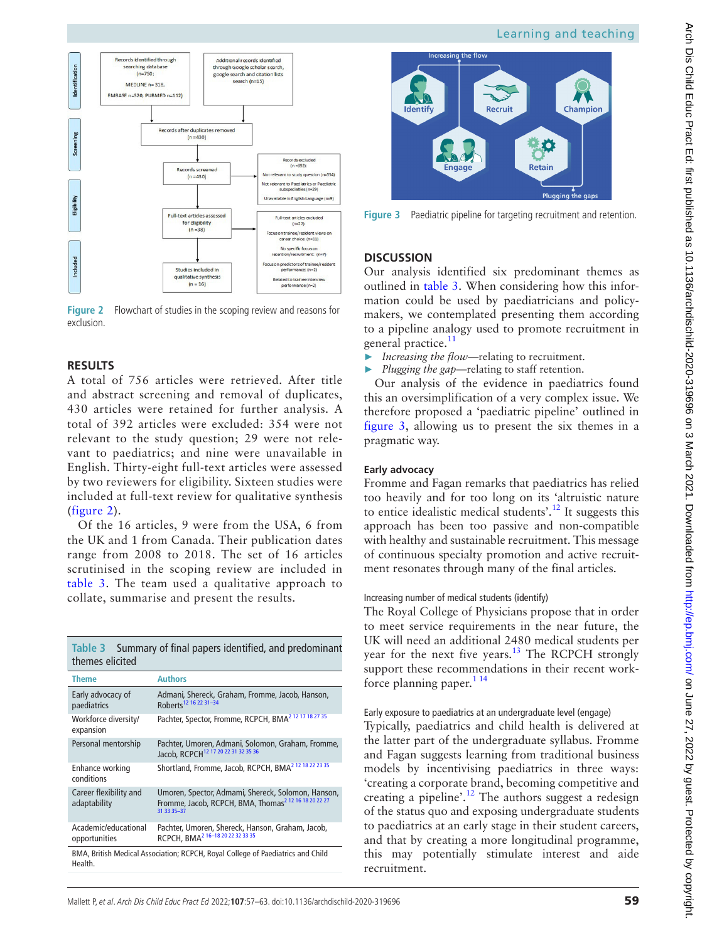

<span id="page-2-0"></span>**Figure 2** Flowchart of studies in the scoping review and reasons for exclusion.

## **RESULTS**

A total of 756 articles were retrieved. After title and abstract screening and removal of duplicates, 430 articles were retained for further analysis. A total of 392 articles were excluded: 354 were not relevant to the study question; 29 were not relevant to paediatrics; and nine were unavailable in English. Thirty-eight full-text articles were assessed by two reviewers for eligibility. Sixteen studies were included at full-text review for qualitative synthesis [\(figure](#page-2-0) 2).

Of the 16 articles, 9 were from the USA, 6 from the UK and 1 from Canada. Their publication dates range from 2008 to 2018. The set of 16 articles scrutinised in the scoping review are included in [table](#page-2-1) 3. The team used a qualitative approach to collate, summarise and present the results.

<span id="page-2-1"></span>**Table 3** Summary of final papers identified, and predominant themes elicited

| <b>Theme</b>                                                                  | <b>Authors</b>                                                                                                                          |  |  |  |
|-------------------------------------------------------------------------------|-----------------------------------------------------------------------------------------------------------------------------------------|--|--|--|
| Early advocacy of<br>paediatrics                                              | Admani, Shereck, Graham, Fromme, Jacob, Hanson,<br>Roberts <sup>12</sup> 16 22 31-34                                                    |  |  |  |
| Workforce diversity/<br>expansion                                             | Pachter, Spector, Fromme, RCPCH, BMA <sup>2 12 17 18 27 35</sup>                                                                        |  |  |  |
| Personal mentorship                                                           | Pachter, Umoren, Admani, Solomon, Graham, Fromme,<br>Jacob, RCPCH <sup>12</sup> 17 20 22 31 32 35 36                                    |  |  |  |
| Enhance working<br>conditions                                                 | Shortland, Fromme, Jacob, RCPCH, BMA <sup>2 12</sup> 18 22 23 35                                                                        |  |  |  |
| Career flexibility and<br>adaptability                                        | Umoren, Spector, Admami, Shereck, Solomon, Hanson,<br>Fromme, Jacob, RCPCH, BMA, Thomas <sup>2 12 16 18 20 22 27</sup><br>31 33 35 - 37 |  |  |  |
| Academic/educational<br>opportunities                                         | Pachter, Umoren, Shereck, Hanson, Graham, Jacob,<br>RCPCH, BMA <sup>2</sup> 16-18 20 22 32 33 35                                        |  |  |  |
| DMA Duitich Modical Accordation: DCDCU Dougl Colloge of Doodintuics and Child |                                                                                                                                         |  |  |  |

BMA, British Medical Association; RCPCH, Royal College of Paediatrics and Child Health.



**Figure 3** Paediatric pipeline for targeting recruitment and retention.

# <span id="page-2-2"></span>**DISCUSSION**

Our analysis identified six predominant themes as outlined in [table](#page-2-1) 3. When considering how this information could be used by paediatricians and policymakers, we contemplated presenting them according to a pipeline analogy used to promote recruitment in general practice.<sup>11</sup>

- Increasing the flow—relating to recruitment.
- *Plugging the gap*—relating to staff retention.

Our analysis of the evidence in paediatrics found this an oversimplification of a very complex issue. We therefore proposed a 'paediatric pipeline' outlined in [figure](#page-2-2) 3, allowing us to present the six themes in a pragmatic way.

## **Early advocacy**

Fromme and Fagan remarks that paediatrics has relied too heavily and for too long on its 'altruistic nature to entice idealistic medical students'.<sup>[12](#page-6-7)</sup> It suggests this approach has been too passive and non-compatible with healthy and sustainable recruitment. This message of continuous specialty promotion and active recruitment resonates through many of the final articles.

Increasing number of medical students (identify)

The Royal College of Physicians propose that in order to meet service requirements in the near future, the UK will need an additional 2480 medical students per year for the next five years. $13$  The RCPCH strongly support these recommendations in their recent workforce planning paper.<sup>114</sup>

Early exposure to paediatrics at an undergraduate level (engage)

Typically, paediatrics and child health is delivered at the latter part of the undergraduate syllabus. Fromme and Fagan suggests learning from traditional business models by incentivising paediatrics in three ways: 'creating a corporate brand, becoming competitive and creating a pipeline'.<sup>[12](#page-6-7)</sup> The authors suggest a redesign of the status quo and exposing undergraduate students to paediatrics at an early stage in their student careers, and that by creating a more longitudinal programme, this may potentially stimulate interest and aide recruitment.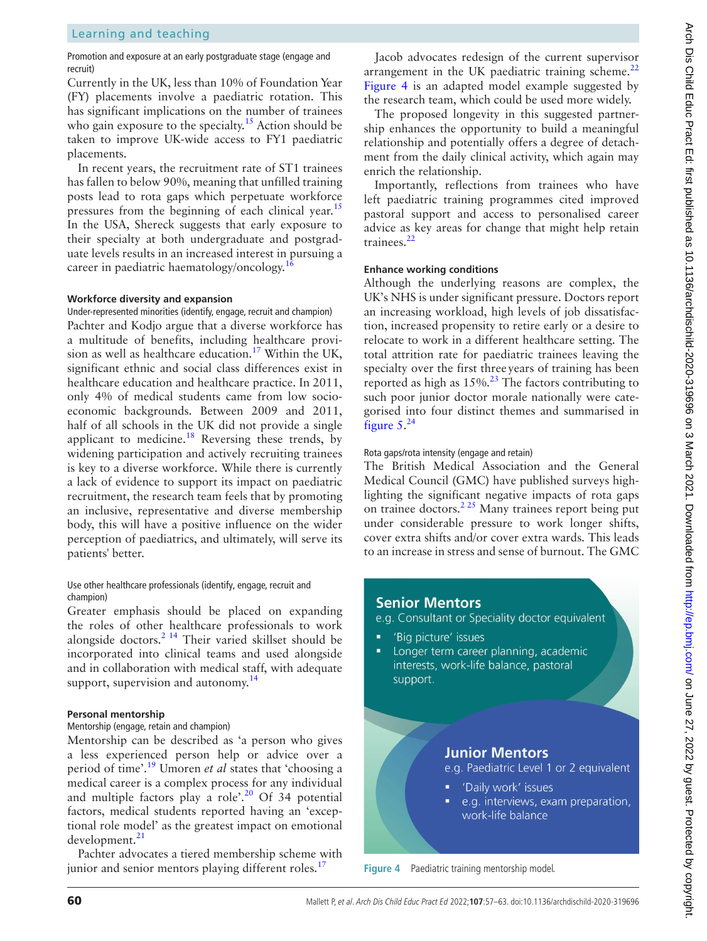Promotion and exposure at an early postgraduate stage (engage and recruit)

Currently in the UK, less than 10% of Foundation Year (FY) placements involve a paediatric rotation. This has significant implications on the number of trainees who gain exposure to the specialty.<sup>15</sup> Action should be taken to improve UK-wide access to FY1 paediatric placements.

In recent years, the recruitment rate of ST1 trainees has fallen to below 90%, meaning that unfilled training posts lead to rota gaps which perpetuate workforce pressures from the beginning of each clinical year.<sup>15</sup> In the USA, Shereck suggests that early exposure to their specialty at both undergraduate and postgraduate levels results in an increased interest in pursuing a career in paediatric haematology/oncology.<sup>[16](#page-6-10)</sup>

#### **Workforce diversity and expansion**

Under-represented minorities (identify, engage, recruit and champion) Pachter and Kodjo argue that a diverse workforce has a multitude of benefits, including healthcare provision as well as healthcare education.<sup>17</sup> Within the UK, significant ethnic and social class differences exist in healthcare education and healthcare practice. In 2011, only 4% of medical students came from low socioeconomic backgrounds. Between 2009 and 2011, half of all schools in the UK did not provide a single applicant to medicine.<sup>[18](#page-6-12)</sup> Reversing these trends, by widening participation and actively recruiting trainees is key to a diverse workforce. While there is currently a lack of evidence to support its impact on paediatric recruitment, the research team feels that by promoting an inclusive, representative and diverse membership body, this will have a positive influence on the wider perception of paediatrics, and ultimately, will serve its patients' better.

#### Use other healthcare professionals (identify, engage, recruit and champion)

Greater emphasis should be placed on expanding the roles of other healthcare professionals to work alongside doctors.[2 14](#page-5-1) Their varied skillset should be incorporated into clinical teams and used alongside and in collaboration with medical staff, with adequate support, supervision and autonomy. $^{14}$ 

#### **Personal mentorship**

#### Mentorship (engage, retain and champion)

Mentorship can be described as 'a person who gives a less experienced person help or advice over a period of time'.[19](#page-6-14) Umoren *et al* states that 'choosing a medical career is a complex process for any individual and multiple factors play a role'.<sup>20</sup> Of 34 potential factors, medical students reported having an 'exceptional role model' as the greatest impact on emotional development.<sup>[21](#page-6-16)</sup>

Pachter advocates a tiered membership scheme with junior and senior mentors playing different roles.<sup>[17](#page-6-11)</sup>

Jacob advocates redesign of the current supervisor arrangement in the UK paediatric training scheme. $^{22}$ [Figure](#page-3-0) 4 is an adapted model example suggested by the research team, which could be used more widely.

The proposed longevity in this suggested partnership enhances the opportunity to build a meaningful relationship and potentially offers a degree of detachment from the daily clinical activity, which again may enrich the relationship.

Importantly, reflections from trainees who have left paediatric training programmes cited improved pastoral support and access to personalised career advice as key areas for change that might help retain trainees.<sup>[22](#page-6-17)</sup>

#### **Enhance working conditions**

Although the underlying reasons are complex, the UK's NHS is under significant pressure. Doctors report an increasing workload, high levels of job dissatisfaction, increased propensity to retire early or a desire to relocate to work in a different healthcare setting. The total attrition rate for paediatric trainees leaving the specialty over the first three years of training has been reported as high as  $15\%$ .<sup>[23](#page-6-18)</sup> The factors contributing to such poor junior doctor morale nationally were categorised into four distinct themes and summarised in [figure](#page-4-0)  $5.^{24}$  $5.^{24}$  $5.^{24}$ 

#### Rota gaps/rota intensity (engage and retain)

The British Medical Association and the General Medical Council (GMC) have published surveys highlighting the significant negative impacts of rota gaps on trainee doctors.<sup>[2 25](#page-5-1)</sup> Many trainees report being put under considerable pressure to work longer shifts, cover extra shifts and/or cover extra wards. This leads to an increase in stress and sense of burnout. The GMC

# **Senior Mentors**

e.g. Consultant or Speciality doctor equivalent

- 'Big picture' issues
- Longer term career planning, academic interests, work-life balance, pastoral support.

# **Junior Mentors**

e.g. Paediatric Level 1 or 2 equivalent

- 'Daily work' issues
- e.g. interviews, exam preparation, work-life balance

<span id="page-3-0"></span>**Figure 4** Paediatric training mentorship model.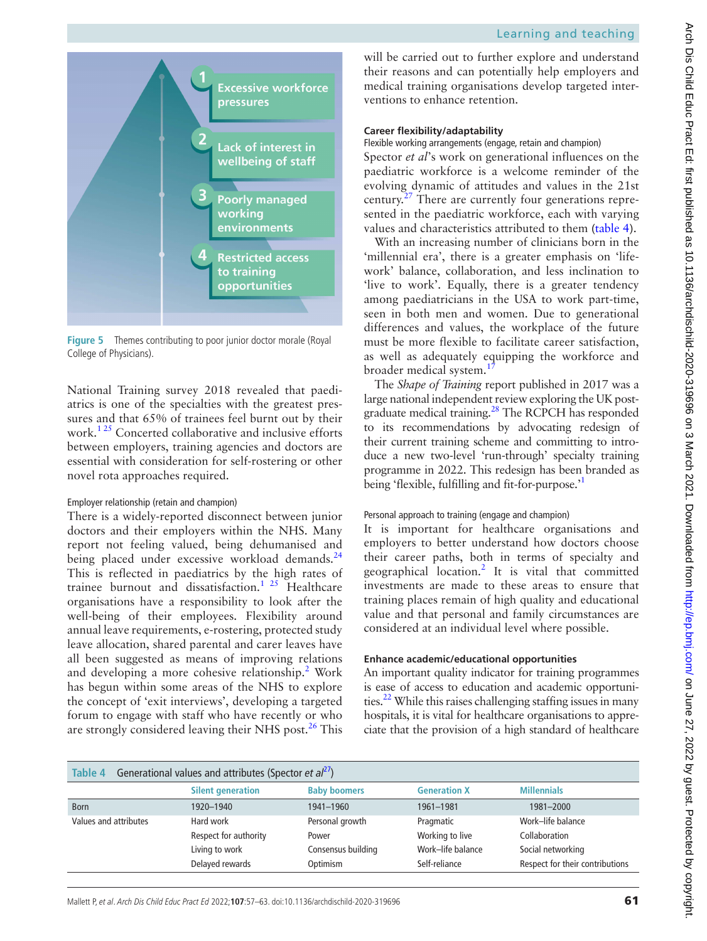

<span id="page-4-0"></span>**Figure 5** Themes contributing to poor junior doctor morale (Royal College of Physicians).

National Training survey 2018 revealed that paediatrics is one of the specialties with the greatest pressures and that 65% of trainees feel burnt out by their work.<sup>125</sup> Concerted collaborative and inclusive efforts between employers, training agencies and doctors are essential with consideration for self-rostering or other novel rota approaches required.

## Employer relationship (retain and champion)

There is a widely-reported disconnect between junior doctors and their employers within the NHS. Many report not feeling valued, being dehumanised and being placed under excessive workload demands.<sup>[24](#page-6-19)</sup> This is reflected in paediatrics by the high rates of trainee burnout and dissatisfaction.<sup>1 25</sup> Healthcare organisations have a responsibility to look after the well-being of their employees. Flexibility around annual leave requirements, e-rostering, protected study leave allocation, shared parental and carer leaves have all been suggested as means of improving relations and developing a more cohesive relationship.<sup>2</sup> Work has begun within some areas of the NHS to explore the concept of 'exit interviews', developing a targeted forum to engage with staff who have recently or who are strongly considered leaving their NHS post. $^{26}$  $^{26}$  $^{26}$  This

will be carried out to further explore and understand their reasons and can potentially help employers and medical training organisations develop targeted interventions to enhance retention.

# **Career flexibility/adaptability**

Flexible working arrangements (engage, retain and champion)

Spector *et al*'s work on generational influences on the paediatric workforce is a welcome reminder of the evolving dynamic of attitudes and values in the 21st century.[27](#page-6-21) There are currently four generations represented in the paediatric workforce, each with varying values and characteristics attributed to them ([table](#page-4-1) 4).

With an increasing number of clinicians born in the 'millennial era', there is a greater emphasis on 'lifework' balance, collaboration, and less inclination to 'live to work'. Equally, there is a greater tendency among paediatricians in the USA to work part-time, seen in both men and women. Due to generational differences and values, the workplace of the future must be more flexible to facilitate career satisfaction, as well as adequately equipping the workforce and broader medical system.<sup>17</sup>

The *Shape of Training* report published in 2017 was a large national independent review exploring the UK postgraduate medical training[.28](#page-6-22) The RCPCH has responded to its recommendations by advocating redesign of their current training scheme and committing to introduce a new two-level 'run-through' specialty training programme in 2022. This redesign has been branded as being 'flexible, fulfilling and fit-for-purpose.['1](#page-5-0)

# Personal approach to training (engage and champion)

It is important for healthcare organisations and employers to better understand how doctors choose their career paths, both in terms of specialty and geographical location.<sup>[2](#page-5-1)</sup> It is vital that committed investments are made to these areas to ensure that training places remain of high quality and educational value and that personal and family circumstances are considered at an individual level where possible.

## **Enhance academic/educational opportunities**

An important quality indicator for training programmes is ease of access to education and academic opportunities.<sup>22</sup> While this raises challenging staffing issues in many hospitals, it is vital for healthcare organisations to appreciate that the provision of a high standard of healthcare

<span id="page-4-1"></span>

| Generational values and attributes (Spector et $al^{27}$ )<br>Table 4 |                          |                     |                     |                                 |  |  |  |
|-----------------------------------------------------------------------|--------------------------|---------------------|---------------------|---------------------------------|--|--|--|
|                                                                       | <b>Silent generation</b> | <b>Baby boomers</b> | <b>Generation X</b> | <b>Millennials</b>              |  |  |  |
| <b>Born</b>                                                           | 1920-1940                | 1941-1960           | 1961-1981           | 1981-2000                       |  |  |  |
| Values and attributes                                                 | Hard work                | Personal growth     | Pragmatic           | Work-life balance               |  |  |  |
|                                                                       | Respect for authority    | Power               | Working to live     | Collaboration                   |  |  |  |
|                                                                       | Living to work           | Consensus building  | Work-life balance   | Social networking               |  |  |  |
|                                                                       | Delayed rewards          | Optimism            | Self-reliance       | Respect for their contributions |  |  |  |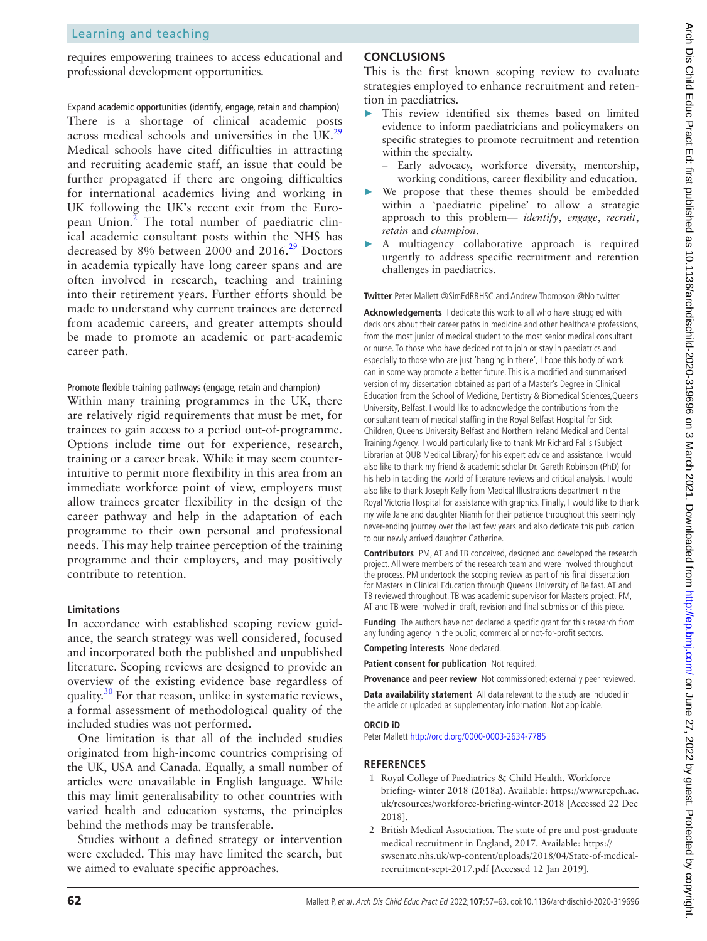requires empowering trainees to access educational and professional development opportunities.

Expand academic opportunities (identify, engage, retain and champion) There is a shortage of clinical academic posts across medical schools and universities in the UK. $^{29}$  $^{29}$  $^{29}$ Medical schools have cited difficulties in attracting and recruiting academic staff, an issue that could be further propagated if there are ongoing difficulties for international academics living and working in UK following the UK's recent exit from the Euro-pean Union.<sup>[2](#page-5-1)</sup> The total number of paediatric clinical academic consultant posts within the NHS has decreased by 8% between 2000 and 2016.<sup>29</sup> Doctors in academia typically have long career spans and are often involved in research, teaching and training into their retirement years. Further efforts should be made to understand why current trainees are deterred from academic careers, and greater attempts should be made to promote an academic or part-academic career path.

#### Promote flexible training pathways (engage, retain and champion)

Within many training programmes in the UK, there are relatively rigid requirements that must be met, for trainees to gain access to a period out-of-programme. Options include time out for experience, research, training or a career break. While it may seem counterintuitive to permit more flexibility in this area from an immediate workforce point of view, employers must allow trainees greater flexibility in the design of the career pathway and help in the adaptation of each programme to their own personal and professional needs. This may help trainee perception of the training programme and their employers, and may positively contribute to retention.

## **Limitations**

In accordance with established scoping review guidance, the search strategy was well considered, focused and incorporated both the published and unpublished literature. Scoping reviews are designed to provide an overview of the existing evidence base regardless of quality.<sup>[30](#page-6-24)</sup> For that reason, unlike in systematic reviews, a formal assessment of methodological quality of the included studies was not performed.

One limitation is that all of the included studies originated from high-income countries comprising of the UK, USA and Canada. Equally, a small number of articles were unavailable in English language. While this may limit generalisability to other countries with varied health and education systems, the principles behind the methods may be transferable.

Studies without a defined strategy or intervention were excluded. This may have limited the search, but we aimed to evaluate specific approaches.

# **CONCLUSIONS**

This is the first known scoping review to evaluate strategies employed to enhance recruitment and retention in paediatrics.

- ► This review identified six themes based on limited evidence to inform paediatricians and policymakers on specific strategies to promote recruitment and retention within the specialty.
	- Early advocacy, workforce diversity, mentorship, working conditions, career flexibility and education.
- We propose that these themes should be embedded within a 'paediatric pipeline' to allow a strategic approach to this problem— *identify*, *engage*, *recruit*, *retain* and *champion*.
- A multiagency collaborative approach is required urgently to address specific recruitment and retention challenges in paediatrics.

**Twitter** Peter Mallett [@SimEdRBHSC](https://twitter.com/SimEdRBHSC) and Andrew Thompson [@No twitter](https://twitter.com/No twitter)

**Acknowledgements** I dedicate this work to all who have struggled with decisions about their career paths in medicine and other healthcare professions, from the most junior of medical student to the most senior medical consultant or nurse. To those who have decided not to join or stay in paediatrics and especially to those who are just 'hanging in there', I hope this body of work can in some way promote a better future. This is a modified and summarised version of my dissertation obtained as part of a Master's Degree in Clinical Education from the School of Medicine, Dentistry & Biomedical Sciences,Queens University, Belfast. I would like to acknowledge the contributions from the consultant team of medical staffing in the Royal Belfast Hospital for Sick Children, Queens University Belfast and Northern Ireland Medical and Dental Training Agency. I would particularly like to thank Mr Richard Fallis (Subject Librarian at QUB Medical Library) for his expert advice and assistance. I would also like to thank my friend & academic scholar Dr. Gareth Robinson (PhD) for his help in tackling the world of literature reviews and critical analysis. I would also like to thank Joseph Kelly from Medical Illustrations department in the Royal Victoria Hospital for assistance with graphics. Finally, I would like to thank my wife Jane and daughter Niamh for their patience throughout this seemingly never-ending journey over the last few years and also dedicate this publication to our newly arrived daughter Catherine.

**Contributors** PM, AT and TB conceived, designed and developed the research project. All were members of the research team and were involved throughout the process. PM undertook the scoping review as part of his final dissertation for Masters in Clinical Education through Queens University of Belfast. AT and TB reviewed throughout. TB was academic supervisor for Masters project. PM, AT and TB were involved in draft, revision and final submission of this piece.

**Funding** The authors have not declared a specific grant for this research from any funding agency in the public, commercial or not-for-profit sectors.

**Competing interests** None declared.

**Patient consent for publication** Not required.

**Provenance and peer review** Not commissioned; externally peer reviewed.

**Data availability statement** All data relevant to the study are included in the article or uploaded as supplementary information. Not applicable.

#### **ORCID iD**

Peter Mallett <http://orcid.org/0000-0003-2634-7785>

## **REFERENCES**

- <span id="page-5-0"></span>1 Royal College of Paediatrics & Child Health. Workforce briefing- winter 2018 (2018a). Available: [https://www.rcpch.ac.](https://www.rcpch.ac.uk/resources/workforce-briefing-winter-2018) [uk/resources/workforce-briefing-winter-2018](https://www.rcpch.ac.uk/resources/workforce-briefing-winter-2018) [Accessed 22 Dec 2018].
- <span id="page-5-1"></span>2 British Medical Association. The state of pre and post-graduate medical recruitment in England, 2017. Available: [https://](https://swsenate.nhs.uk/wp-content/uploads/2018/04/State-of-medical-recruitment-sept-2017.pdf) [swsenate.nhs.uk/wp-content/uploads/2018/04/State-of-medical](https://swsenate.nhs.uk/wp-content/uploads/2018/04/State-of-medical-recruitment-sept-2017.pdf)[recruitment-sept-2017.pdf](https://swsenate.nhs.uk/wp-content/uploads/2018/04/State-of-medical-recruitment-sept-2017.pdf) [Accessed 12 Jan 2019].